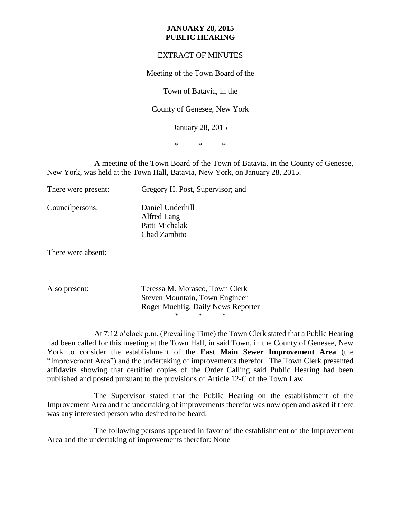## **JANUARY 28, 2015 PUBLIC HEARING**

## EXTRACT OF MINUTES

Meeting of the Town Board of the

Town of Batavia, in the

County of Genesee, New York

January 28, 2015

\* \* \*

A meeting of the Town Board of the Town of Batavia, in the County of Genesee, New York, was held at the Town Hall, Batavia, New York, on January 28, 2015.

| There were present: | Gregory H. Post, Supervisor; and                                  |
|---------------------|-------------------------------------------------------------------|
| Council persons:    | Daniel Underhill<br>Alfred Lang<br>Patti Michalak<br>Chad Zambito |

There were absent:

Also present: Teressa M. Morasco, Town Clerk Steven Mountain, Town Engineer Roger Muehlig, Daily News Reporter \* \* \*

At 7:12 o'clock p.m. (Prevailing Time) the Town Clerk stated that a Public Hearing had been called for this meeting at the Town Hall, in said Town, in the County of Genesee, New York to consider the establishment of the **East Main Sewer Improvement Area** (the "Improvement Area") and the undertaking of improvements therefor. The Town Clerk presented affidavits showing that certified copies of the Order Calling said Public Hearing had been published and posted pursuant to the provisions of Article 12-C of the Town Law.

The Supervisor stated that the Public Hearing on the establishment of the Improvement Area and the undertaking of improvements therefor was now open and asked if there was any interested person who desired to be heard.

The following persons appeared in favor of the establishment of the Improvement Area and the undertaking of improvements therefor: None